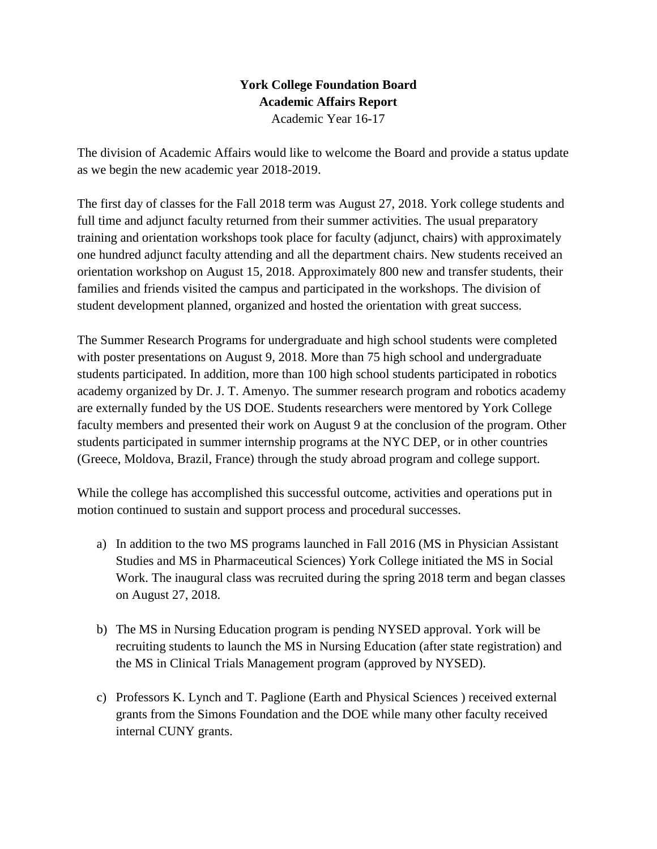## **York College Foundation Board Academic Affairs Report**

Academic Year 16-17

The division of Academic Affairs would like to welcome the Board and provide a status update as we begin the new academic year 2018-2019.

The first day of classes for the Fall 2018 term was August 27, 2018. York college students and full time and adjunct faculty returned from their summer activities. The usual preparatory training and orientation workshops took place for faculty (adjunct, chairs) with approximately one hundred adjunct faculty attending and all the department chairs. New students received an orientation workshop on August 15, 2018. Approximately 800 new and transfer students, their families and friends visited the campus and participated in the workshops. The division of student development planned, organized and hosted the orientation with great success.

The Summer Research Programs for undergraduate and high school students were completed with poster presentations on August 9, 2018. More than 75 high school and undergraduate students participated. In addition, more than 100 high school students participated in robotics academy organized by Dr. J. T. Amenyo. The summer research program and robotics academy are externally funded by the US DOE. Students researchers were mentored by York College faculty members and presented their work on August 9 at the conclusion of the program. Other students participated in summer internship programs at the NYC DEP, or in other countries (Greece, Moldova, Brazil, France) through the study abroad program and college support.

While the college has accomplished this successful outcome, activities and operations put in motion continued to sustain and support process and procedural successes.

- a) In addition to the two MS programs launched in Fall 2016 (MS in Physician Assistant Studies and MS in Pharmaceutical Sciences) York College initiated the MS in Social Work. The inaugural class was recruited during the spring 2018 term and began classes on August 27, 2018.
- b) The MS in Nursing Education program is pending NYSED approval. York will be recruiting students to launch the MS in Nursing Education (after state registration) and the MS in Clinical Trials Management program (approved by NYSED).
- c) Professors K. Lynch and T. Paglione (Earth and Physical Sciences ) received external grants from the Simons Foundation and the DOE while many other faculty received internal CUNY grants.